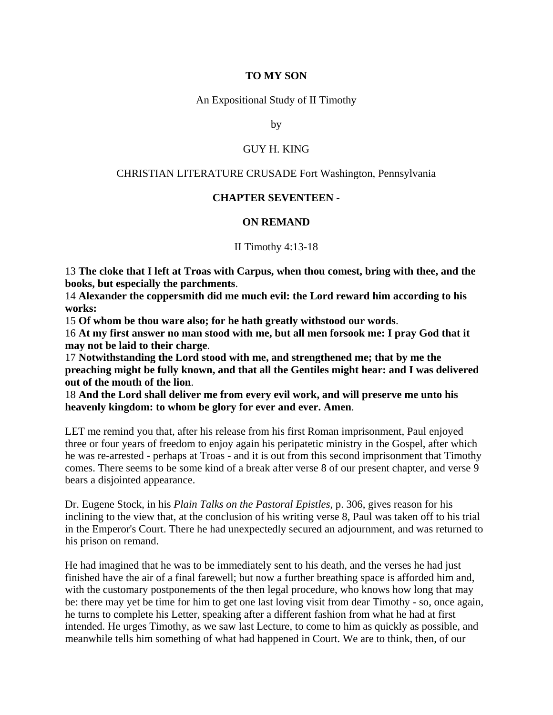# **TO MY SON**

## An Expositional Study of II Timothy

by

## GUY H. KING

#### CHRISTIAN LITERATURE CRUSADE Fort Washington, Pennsylvania

## **CHAPTER SEVENTEEN -**

#### **ON REMAND**

II Timothy 4:13-18

13 **The cloke that I left at Troas with Carpus, when thou comest, bring with thee, and the books, but especially the parchments**.

14 **Alexander the coppersmith did me much evil: the Lord reward him according to his works:**

15 **Of whom be thou ware also; for he hath greatly withstood our words**.

16 **At my first answer no man stood with me, but all men forsook me: I pray God that it may not be laid to their charge**.

17 **Notwithstanding the Lord stood with me, and strengthened me; that by me the preaching might be fully known, and that all the Gentiles might hear: and I was delivered out of the mouth of the lion**.

18 **And the Lord shall deliver me from every evil work, and will preserve me unto his heavenly kingdom: to whom be glory for ever and ever. Amen**.

LET me remind you that, after his release from his first Roman imprisonment, Paul enjoyed three or four years of freedom to enjoy again his peripatetic ministry in the Gospel, after which he was re-arrested - perhaps at Troas - and it is out from this second imprisonment that Timothy comes. There seems to be some kind of a break after verse 8 of our present chapter, and verse 9 bears a disjointed appearance.

Dr. Eugene Stock, in his *Plain Talks on the Pastoral Epistles*, p. 306, gives reason for his inclining to the view that, at the conclusion of his writing verse 8, Paul was taken off to his trial in the Emperor's Court. There he had unexpectedly secured an adjournment, and was returned to his prison on remand.

He had imagined that he was to be immediately sent to his death, and the verses he had just finished have the air of a final farewell; but now a further breathing space is afforded him and, with the customary postponements of the then legal procedure, who knows how long that may be: there may yet be time for him to get one last loving visit from dear Timothy - so, once again, he turns to complete his Letter, speaking after a different fashion from what he had at first intended. He urges Timothy, as we saw last Lecture, to come to him as quickly as possible, and meanwhile tells him something of what had happened in Court. We are to think, then, of our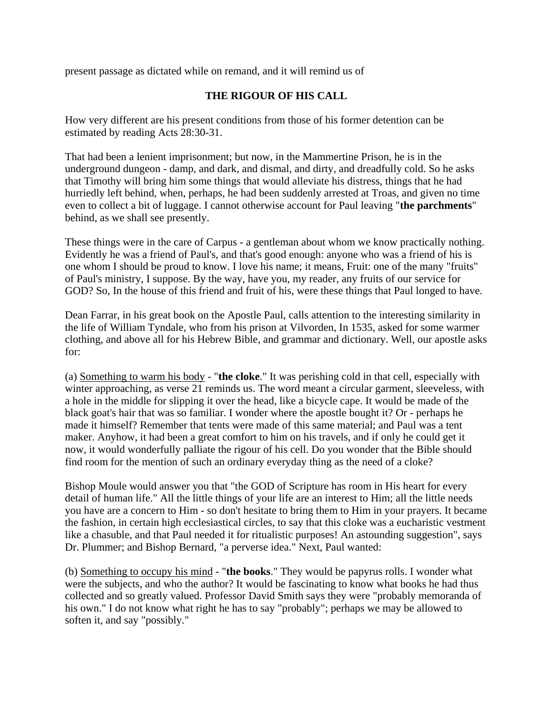present passage as dictated while on remand, and it will remind us of

# **THE RIGOUR OF HIS CALL**

How very different are his present conditions from those of his former detention can be estimated by reading Acts 28:30-31.

That had been a lenient imprisonment; but now, in the Mammertine Prison, he is in the underground dungeon - damp, and dark, and dismal, and dirty, and dreadfully cold. So he asks that Timothy will bring him some things that would alleviate his distress, things that he had hurriedly left behind, when, perhaps, he had been suddenly arrested at Troas, and given no time even to collect a bit of luggage. I cannot otherwise account for Paul leaving "**the parchments**" behind, as we shall see presently.

These things were in the care of Carpus - a gentleman about whom we know practically nothing. Evidently he was a friend of Paul's, and that's good enough: anyone who was a friend of his is one whom I should be proud to know. I love his name; it means, Fruit: one of the many "fruits" of Paul's ministry, I suppose. By the way, have you, my reader, any fruits of our service for GOD? So, In the house of this friend and fruit of his, were these things that Paul longed to have.

Dean Farrar, in his great book on the Apostle Paul, calls attention to the interesting similarity in the life of William Tyndale, who from his prison at Vilvorden, In 1535, asked for some warmer clothing, and above all for his Hebrew Bible, and grammar and dictionary. Well, our apostle asks for:

(a) Something to warm his body - "**the cloke**." It was perishing cold in that cell, especially with winter approaching, as verse 21 reminds us. The word meant a circular garment, sleeveless, with a hole in the middle for slipping it over the head, like a bicycle cape. It would be made of the black goat's hair that was so familiar. I wonder where the apostle bought it? Or - perhaps he made it himself? Remember that tents were made of this same material; and Paul was a tent maker. Anyhow, it had been a great comfort to him on his travels, and if only he could get it now, it would wonderfully palliate the rigour of his cell. Do you wonder that the Bible should find room for the mention of such an ordinary everyday thing as the need of a cloke?

Bishop Moule would answer you that "the GOD of Scripture has room in His heart for every detail of human life." All the little things of your life are an interest to Him; all the little needs you have are a concern to Him - so don't hesitate to bring them to Him in your prayers. It became the fashion, in certain high ecclesiastical circles, to say that this cloke was a eucharistic vestment like a chasuble, and that Paul needed it for ritualistic purposes! An astounding suggestion", says Dr. Plummer; and Bishop Bernard, "a perverse idea." Next, Paul wanted:

(b) Something to occupy his mind - "**the books**." They would be papyrus rolls. I wonder what were the subjects, and who the author? It would be fascinating to know what books he had thus collected and so greatly valued. Professor David Smith says they were "probably memoranda of his own." I do not know what right he has to say "probably"; perhaps we may be allowed to soften it, and say "possibly."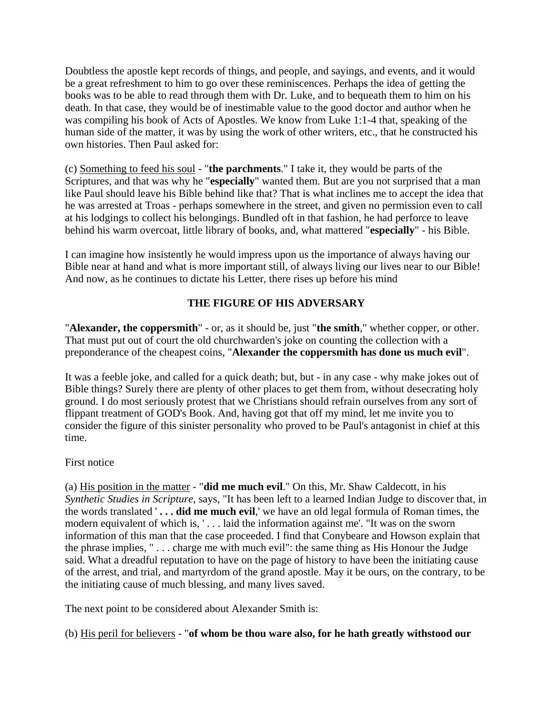Doubtless the apostle kept records of things, and people, and sayings, and events, and it would be a great refreshment to him to go over these reminiscences. Perhaps the idea of getting the books was to be able to read through them with Dr. Luke, and to bequeath them to him on his death. In that case, they would be of inestimable value to the good doctor and author when he was compiling his book of Acts of Apostles. We know from Luke 1:1-4 that, speaking of the human side of the matter, it was by using the work of other writers, etc., that he constructed his own histories. Then Paul asked for:

(c) Something to feed his soul - "**the parchments**." I take it, they would be parts of the Scriptures, and that was why he "**especially**" wanted them. But are you not surprised that a man like Paul should leave his Bible behind like that? That is what inclines me to accept the idea that he was arrested at Troas - perhaps somewhere in the street, and given no permission even to call at his lodgings to collect his belongings. Bundled oft in that fashion, he had perforce to leave behind his warm overcoat, little library of books, and, what mattered "**especially**" - his Bible.

I can imagine how insistently he would impress upon us the importance of always having our Bible near at hand and what is more important still, of always living our lives near to our Bible! And now, as he continues to dictate his Letter, there rises up before his mind

# **THE FIGURE OF HIS ADVERSARY**

"**Alexander, the coppersmith**" - or, as it should be, just "**the smith**," whether copper, or other. That must put out of court the old churchwarden's joke on counting the collection with a preponderance of the cheapest coins, "**Alexander the coppersmith has done us much evil**".

It was a feeble joke, and called for a quick death; but, but - in any case - why make jokes out of Bible things? Surely there are plenty of other places to get them from, without desecrating holy ground. I do most seriously protest that we Christians should refrain ourselves from any sort of flippant treatment of GOD's Book. And, having got that off my mind, let me invite you to consider the figure of this sinister personality who proved to be Paul's antagonist in chief at this time.

# First notice

(a) His position in the matter - "**did me much evil**." On this, Mr. Shaw Caldecott, in his *Synthetic Studies in Scripture*, says, "It has been left to a learned Indian Judge to discover that, in the words translated ' **. . . did me much evil**,' we have an old legal formula of Roman times, the modern equivalent of which is, ' . . . laid the information against me'. "It was on the sworn information of this man that the case proceeded. I find that Conybeare and Howson explain that the phrase implies, " . . . charge me with much evil": the same thing as His Honour the Judge said. What a dreadful reputation to have on the page of history to have been the initiating cause of the arrest, and trial, and martyrdom of the grand apostle. May it be ours, on the contrary, to be the initiating cause of much blessing, and many lives saved.

The next point to be considered about Alexander Smith is:

(b) His peril for believers - "**of whom be thou ware also, for he hath greatly withstood our**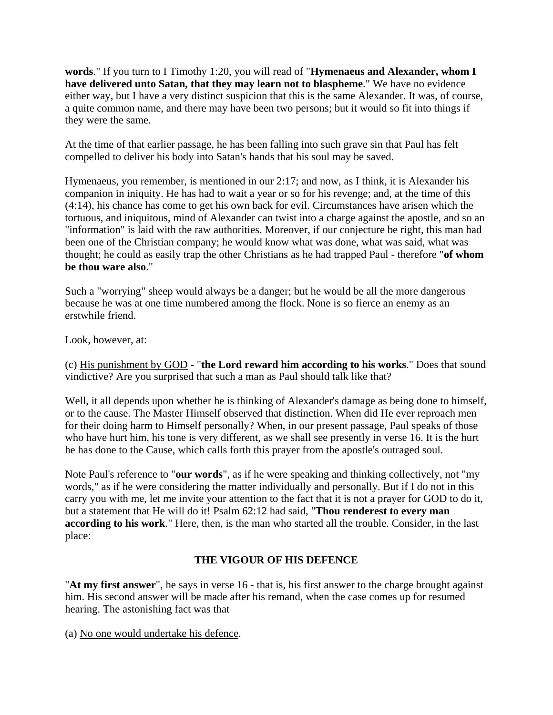**words**." If you turn to I Timothy 1:20, you will read of "**Hymenaeus and Alexander, whom I have delivered unto Satan, that they may learn not to blaspheme**." We have no evidence either way, but I have a very distinct suspicion that this is the same Alexander. It was, of course, a quite common name, and there may have been two persons; but it would so fit into things if they were the same.

At the time of that earlier passage, he has been falling into such grave sin that Paul has felt compelled to deliver his body into Satan's hands that his soul may be saved.

Hymenaeus, you remember, is mentioned in our 2:17; and now, as I think, it is Alexander his companion in iniquity. He has had to wait a year or so for his revenge; and, at the time of this (4:14), his chance has come to get his own back for evil. Circumstances have arisen which the tortuous, and iniquitous, mind of Alexander can twist into a charge against the apostle, and so an "information" is laid with the raw authorities. Moreover, if our conjecture be right, this man had been one of the Christian company; he would know what was done, what was said, what was thought; he could as easily trap the other Christians as he had trapped Paul - therefore "**of whom be thou ware also**."

Such a "worrying" sheep would always be a danger; but he would be all the more dangerous because he was at one time numbered among the flock. None is so fierce an enemy as an erstwhile friend.

Look, however, at:

(c) His punishment by GOD - "**the Lord reward him according to his works**." Does that sound vindictive? Are you surprised that such a man as Paul should talk like that?

Well, it all depends upon whether he is thinking of Alexander's damage as being done to himself, or to the cause. The Master Himself observed that distinction. When did He ever reproach men for their doing harm to Himself personally? When, in our present passage, Paul speaks of those who have hurt him, his tone is very different, as we shall see presently in verse 16. It is the hurt he has done to the Cause, which calls forth this prayer from the apostle's outraged soul.

Note Paul's reference to "**our words**", as if he were speaking and thinking collectively, not "my words," as if he were considering the matter individually and personally. But if I do not in this carry you with me, let me invite your attention to the fact that it is not a prayer for GOD to do it, but a statement that He will do it! Psalm 62:12 had said, "**Thou renderest to every man according to his work**." Here, then, is the man who started all the trouble. Consider, in the last place:

# **THE VIGOUR OF HIS DEFENCE**

"**At my first answer**", he says in verse 16 - that is, his first answer to the charge brought against him. His second answer will be made after his remand, when the case comes up for resumed hearing. The astonishing fact was that

(a) No one would undertake his defence.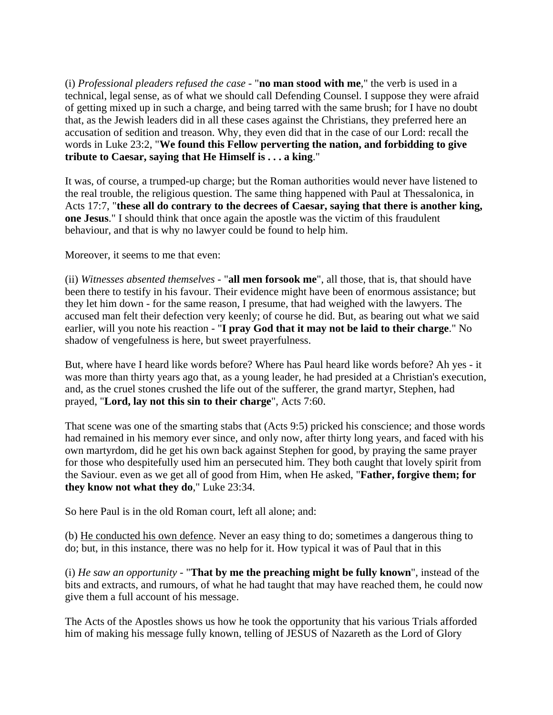(i) *Professional pleaders refused the case* - "**no man stood with me**," the verb is used in a technical, legal sense, as of what we should call Defending Counsel. I suppose they were afraid of getting mixed up in such a charge, and being tarred with the same brush; for I have no doubt that, as the Jewish leaders did in all these cases against the Christians, they preferred here an accusation of sedition and treason. Why, they even did that in the case of our Lord: recall the words in Luke 23:2, "**We found this Fellow perverting the nation, and forbidding to give tribute to Caesar, saying that He Himself is . . . a king**."

It was, of course, a trumped-up charge; but the Roman authorities would never have listened to the real trouble, the religious question. The same thing happened with Paul at Thessalonica, in Acts 17:7, "**these all do contrary to the decrees of Caesar, saying that there is another king, one Jesus**." I should think that once again the apostle was the victim of this fraudulent behaviour, and that is why no lawyer could be found to help him.

Moreover, it seems to me that even:

(ii) *Witnesses absented themselves* - "**all men forsook me**", all those, that is, that should have been there to testify in his favour. Their evidence might have been of enormous assistance; but they let him down - for the same reason, I presume, that had weighed with the lawyers. The accused man felt their defection very keenly; of course he did. But, as bearing out what we said earlier, will you note his reaction - "**I pray God that it may not be laid to their charge**." No shadow of vengefulness is here, but sweet prayerfulness.

But, where have I heard like words before? Where has Paul heard like words before? Ah yes - it was more than thirty years ago that, as a young leader, he had presided at a Christian's execution, and, as the cruel stones crushed the life out of the sufferer, the grand martyr, Stephen, had prayed, "**Lord, lay not this sin to their charge**", Acts 7:60.

That scene was one of the smarting stabs that (Acts 9:5) pricked his conscience; and those words had remained in his memory ever since, and only now, after thirty long years, and faced with his own martyrdom, did he get his own back against Stephen for good, by praying the same prayer for those who despitefully used him an persecuted him. They both caught that lovely spirit from the Saviour. even as we get all of good from Him, when He asked, "**Father, forgive them; for they know not what they do**," Luke 23:34.

So here Paul is in the old Roman court, left all alone; and:

(b) He conducted his own defence. Never an easy thing to do; sometimes a dangerous thing to do; but, in this instance, there was no help for it. How typical it was of Paul that in this

(i) *He saw an opportunity* - "**That by me the preaching might be fully known**", instead of the bits and extracts, and rumours, of what he had taught that may have reached them, he could now give them a full account of his message.

The Acts of the Apostles shows us how he took the opportunity that his various Trials afforded him of making his message fully known, telling of JESUS of Nazareth as the Lord of Glory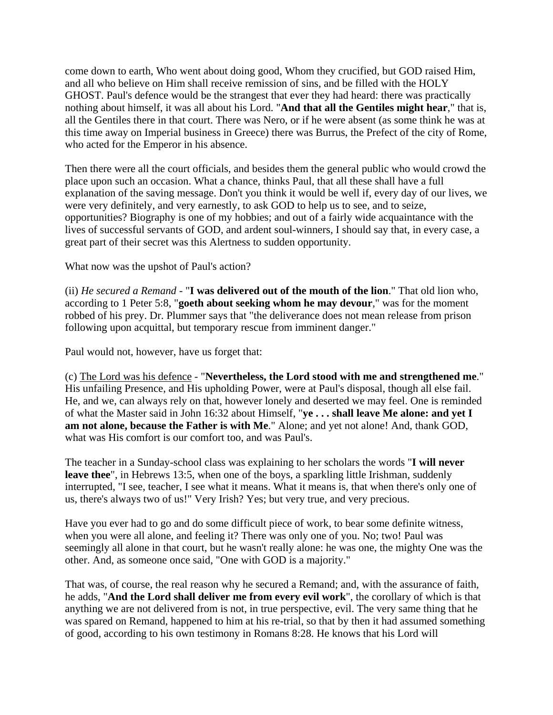come down to earth, Who went about doing good, Whom they crucified, but GOD raised Him, and all who believe on Him shall receive remission of sins, and be filled with the HOLY GHOST. Paul's defence would be the strangest that ever they had heard: there was practically nothing about himself, it was all about his Lord. "**And that all the Gentiles might hear**," that is, all the Gentiles there in that court. There was Nero, or if he were absent (as some think he was at this time away on Imperial business in Greece) there was Burrus, the Prefect of the city of Rome, who acted for the Emperor in his absence.

Then there were all the court officials, and besides them the general public who would crowd the place upon such an occasion. What a chance, thinks Paul, that all these shall have a full explanation of the saving message. Don't you think it would be well if, every day of our lives, we were very definitely, and very earnestly, to ask GOD to help us to see, and to seize, opportunities? Biography is one of my hobbies; and out of a fairly wide acquaintance with the lives of successful servants of GOD, and ardent soul-winners, I should say that, in every case, a great part of their secret was this Alertness to sudden opportunity.

What now was the upshot of Paul's action?

(ii) *He secured a Remand* - "**I was delivered out of the mouth of the lion**." That old lion who, according to 1 Peter 5:8, "**goeth about seeking whom he may devour**," was for the moment robbed of his prey. Dr. Plummer says that "the deliverance does not mean release from prison following upon acquittal, but temporary rescue from imminent danger."

Paul would not, however, have us forget that:

(c) The Lord was his defence - "**Nevertheless, the Lord stood with me and strengthened me**." His unfailing Presence, and His upholding Power, were at Paul's disposal, though all else fail. He, and we, can always rely on that, however lonely and deserted we may feel. One is reminded of what the Master said in John 16:32 about Himself, "**ye . . . shall leave Me alone: and yet I am not alone, because the Father is with Me**." Alone; and yet not alone! And, thank GOD, what was His comfort is our comfort too, and was Paul's.

The teacher in a Sunday-school class was explaining to her scholars the words "**I will never leave thee**", in Hebrews 13:5, when one of the boys, a sparkling little Irishman, suddenly interrupted, "I see, teacher, I see what it means. What it means is, that when there's only one of us, there's always two of us!" Very Irish? Yes; but very true, and very precious.

Have you ever had to go and do some difficult piece of work, to bear some definite witness, when you were all alone, and feeling it? There was only one of you. No; two! Paul was seemingly all alone in that court, but he wasn't really alone: he was one, the mighty One was the other. And, as someone once said, "One with GOD is a majority."

That was, of course, the real reason why he secured a Remand; and, with the assurance of faith, he adds, "**And the Lord shall deliver me from every evil work**", the corollary of which is that anything we are not delivered from is not, in true perspective, evil. The very same thing that he was spared on Remand, happened to him at his re-trial, so that by then it had assumed something of good, according to his own testimony in Romans 8:28. He knows that his Lord will